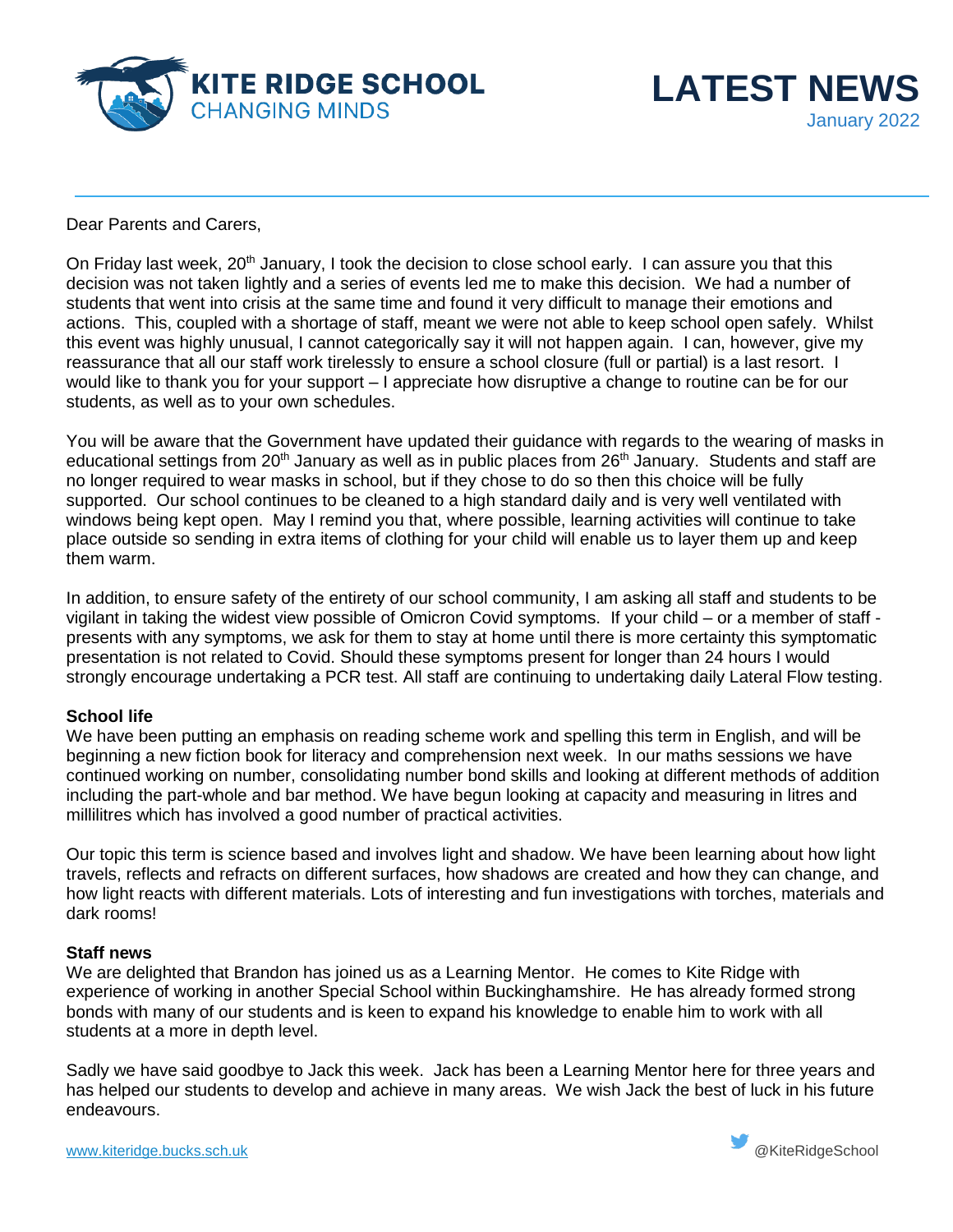



Dear Parents and Carers,

On Friday last week, 20<sup>th</sup> January, I took the decision to close school early. I can assure you that this decision was not taken lightly and a series of events led me to make this decision. We had a number of students that went into crisis at the same time and found it very difficult to manage their emotions and actions. This, coupled with a shortage of staff, meant we were not able to keep school open safely. Whilst this event was highly unusual, I cannot categorically say it will not happen again. I can, however, give my reassurance that all our staff work tirelessly to ensure a school closure (full or partial) is a last resort. I would like to thank you for your support – I appreciate how disruptive a change to routine can be for our students, as well as to your own schedules.

You will be aware that the Government have updated their guidance with regards to the wearing of masks in educational settings from 20<sup>th</sup> January as well as in public places from 26<sup>th</sup> January. Students and staff are no longer required to wear masks in school, but if they chose to do so then this choice will be fully supported. Our school continues to be cleaned to a high standard daily and is very well ventilated with windows being kept open. May I remind you that, where possible, learning activities will continue to take place outside so sending in extra items of clothing for your child will enable us to layer them up and keep them warm.

In addition, to ensure safety of the entirety of our school community, I am asking all staff and students to be vigilant in taking the widest view possible of Omicron Covid symptoms. If your child – or a member of staff presents with any symptoms, we ask for them to stay at home until there is more certainty this symptomatic presentation is not related to Covid. Should these symptoms present for longer than 24 hours I would strongly encourage undertaking a PCR test. All staff are continuing to undertaking daily Lateral Flow testing.

## **School life**

We have been putting an emphasis on reading scheme work and spelling this term in English, and will be beginning a new fiction book for literacy and comprehension next week. In our maths sessions we have continued working on number, consolidating number bond skills and looking at different methods of addition including the part-whole and bar method. We have begun looking at capacity and measuring in litres and millilitres which has involved a good number of practical activities.

Our topic this term is science based and involves light and shadow. We have been learning about how light travels, reflects and refracts on different surfaces, how shadows are created and how they can change, and how light reacts with different materials. Lots of interesting and fun investigations with torches, materials and dark rooms!

## **Staff news**

We are delighted that Brandon has joined us as a Learning Mentor. He comes to Kite Ridge with experience of working in another Special School within Buckinghamshire. He has already formed strong bonds with many of our students and is keen to expand his knowledge to enable him to work with all students at a more in depth level.

Sadly we have said goodbye to Jack this week. Jack has been a Learning Mentor here for three years and has helped our students to develop and achieve in many areas. We wish Jack the best of luck in his future endeavours.